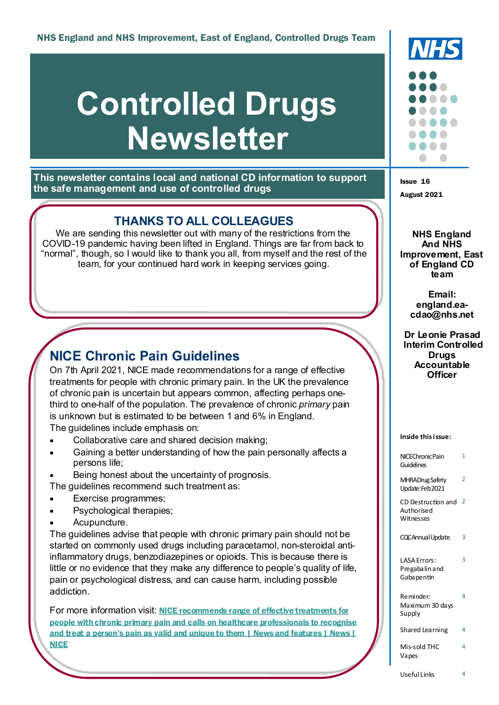# **Controlled Drugs Newsletter**

**This newsletter contains local and national CD information to support the safe management and use of controlled drugs** 

## **THANKS TO ALL COLLEAGUES**

We are sending this newsletter out with many of the restrictions from the COVID-19 pandemic having been lifted in England. Things are far from back to "normal", though, so I would like to thank you all, from myself and the rest of the team, for your continued hard work in keeping services going.

# **NICE Chronic Pain Guidelines**

On 7th April 2021, NICE made recommendations for a range of effective treatments for people with chronic primary pain. In the UK the prevalence of chronic pain is uncertain but appears common, affecting perhaps onethird to one-half of the population. The prevalence of chronic *primary* pain is unknown but is estimated to be between 1 and 6% in England. The guidelines include emphasis on:

• Collaborative care and shared decision making;

- Gaining a better understanding of how the pain personally affects a persons life;
- Being honest about the uncertainty of prognosis.

The guidelines recommend such treatment as:

- Exercise programmes;
- Psychological therapies;
- Acupuncture.

The guidelines advise that people with chronic primary pain should not be started on commonly used drugs including paracetamol, non-steroidal antiinflammatory drugs, benzodiazepines or opioids. This is because there is little or no evidence that they make any difference to people's quality of life, pain or psychological distress, and can cause harm, including possible addiction.

For more information visit: [NICE recommends range of effective treatments for](https://www.nice.org.uk/news/article/nice-recommends-range-of-effective-treatments-for-people-with-chronic-primary-pain-and-calls-on-healthcare-professionals-to-recognise-and-treat-a-person-s-pain-as-valid-and-unique-to-them)  [people with chronic primary pain and calls on healthcare professionals to recognise](https://www.nice.org.uk/news/article/nice-recommends-range-of-effective-treatments-for-people-with-chronic-primary-pain-and-calls-on-healthcare-professionals-to-recognise-and-treat-a-person-s-pain-as-valid-and-unique-to-them)  and treat a person's pain as valid and unique to them I News and features I News I **[NICE](https://www.nice.org.uk/news/article/nice-recommends-range-of-effective-treatments-for-people-with-chronic-primary-pain-and-calls-on-healthcare-professionals-to-recognise-and-treat-a-person-s-pain-as-valid-and-unique-to-them)** 



August 2021 Issue 16

**NHS England And NHS Improvement, East of England CD team**

> **Email: england.eacdao@nhs.net**

**Dr Leonie Prasad Interim Controlled Drugs Accountable Officer** 

| Inside this issue:                                   |                |
|------------------------------------------------------|----------------|
| NICEChronic Pain<br>Guidelines                       | 1              |
| <b>MHRADrug Safety</b><br>Update: Feb 2021           | $\overline{2}$ |
| CD Destruction and<br>Authorised<br><b>Witnesses</b> | 2              |
| <b>CQCAnnual Update</b>                              | 3              |
| <b>LASA Errors:</b><br>Pregabalinand<br>Gabapentin   | 3              |
| Reminder:<br>Maximum 30 days<br>Supply               | Δ              |
| Shared Learning                                      | 4              |
| Mis-sold THC<br>Va pes                               | Δ              |
| Useful Links                                         | 4              |
|                                                      |                |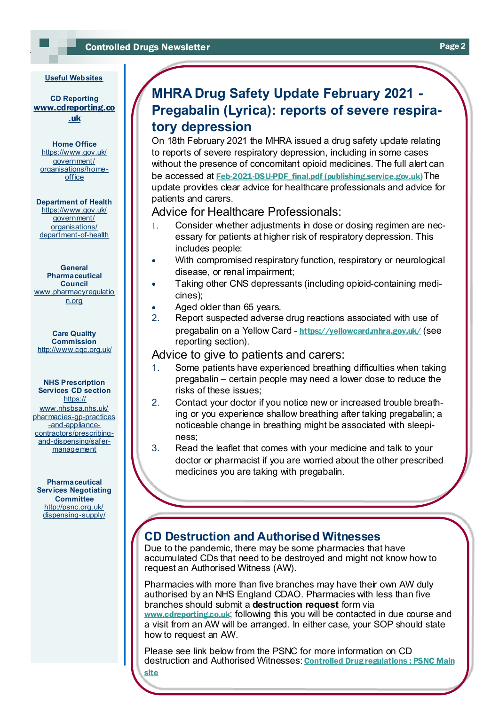#### Controlled Drugs Newsletter **Page 2** and 2 and 2 and 2 and 2 and 2 and 2 and 2 and 2 and 2 and 2 and 2 and 2 and 2

#### **Useful Websites**

**CD Reporting** [www.cdreporting.co](http://www.cdreporting.co.uk) [.uk](http://www.cdreporting.co.uk)

**Home Office** [https://www.gov.uk/](https://www.gov.uk/government/organisations/home-office) [government/](https://www.gov.uk/government/organisations/home-office) [organisations/home](https://www.gov.uk/government/organisations/home-office)[office](https://www.gov.uk/government/organisations/home-office)

**Department of Health** [https://www.gov.uk/](https://www.gov.uk/government/organisations/department-of-health) [government/](https://www.gov.uk/government/organisations/department-of-health) [organisations/](https://www.gov.uk/government/organisations/department-of-health) [department](https://www.gov.uk/government/organisations/department-of-health)-of-health

**General Pharmaceutical Council** [www.pharmacyregulatio](http://www.pharmacyregulation.org) [n.org](http://www.pharmacyregulation.org)

**Care Quality Commission** <http://www.cqc.org.uk/>

**NHS Prescription Services CD section** [https://](https://www.nhsbsa.nhs.uk/pharmacies-gp-practices-and-appliance-contractors/prescribing-and-dispensing/safer-management) [www.nhsbsa.nhs.uk/](https://www.nhsbsa.nhs.uk/pharmacies-gp-practices-and-appliance-contractors/prescribing-and-dispensing/safer-management) [pharmacies](https://www.nhsbsa.nhs.uk/pharmacies-gp-practices-and-appliance-contractors/prescribing-and-dispensing/safer-management)-gp-practices -and-[appliance](https://www.nhsbsa.nhs.uk/pharmacies-gp-practices-and-appliance-contractors/prescribing-and-dispensing/safer-management)[contractors/prescribing](https://www.nhsbsa.nhs.uk/pharmacies-gp-practices-and-appliance-contractors/prescribing-and-dispensing/safer-management)and-[dispensing/safer](https://www.nhsbsa.nhs.uk/pharmacies-gp-practices-and-appliance-contractors/prescribing-and-dispensing/safer-management)[management](https://www.nhsbsa.nhs.uk/pharmacies-gp-practices-and-appliance-contractors/prescribing-and-dispensing/safer-management)

**Pharmaceutical Services Negotiating Committee** [http://psnc.org.uk/](http://psnc.org.uk/dispensing-supply/) [dispensing](http://psnc.org.uk/dispensing-supply/)-supply/

# **MHRA Drug Safety Update February 2021 - Pregabalin (Lyrica): reports of severe respiratory depression**

On 18th February 2021 the MHRA issued a drug safety update relating to reports of severe respiratory depression, including in some cases without the presence of concomitant opioid medicines. The full alert can be accessed at [Feb-2021-DSU-PDF\\_final.pdf \(publishing.service.gov.uk\)](https://assets.publishing.service.gov.uk/government/uploads/system/uploads/attachment_data/file/962557/Feb-2021-DSU-PDF_final.pdf)The update provides clear advice for healthcare professionals and advice for patients and carers.

#### Advice for Healthcare Professionals:

- Consider whether adjustments in dose or dosing regimen are necessary for patients at higher risk of respiratory depression. This includes people:
	- With compromised respiratory function, respiratory or neurological disease, or renal impairment;
- Taking other CNS depressants (including opioid-containing medicines);
- Aged older than 65 years.
- 2. Report suspected adverse drug reactions associated with use of pregabalin on a Yellow Card - <https://yellowcard.mhra.gov.uk/> (see reporting section).

#### Advice to give to patients and carers:

- 1. Some patients have experienced breathing difficulties when taking pregabalin – certain people may need a lower dose to reduce the risks of these issues;
- 2. Contact your doctor if you notice new or increased trouble breathing or you experience shallow breathing after taking pregabalin; a noticeable change in breathing might be associated with sleepiness;
- 3. Read the leaflet that comes with your medicine and talk to your doctor or pharmacist if you are worried about the other prescribed medicines you are taking with pregabalin.

### **CD Destruction and Authorised Witnesses**

Due to the pandemic, there may be some pharmacies that have accumulated CDs that need to be destroyed and might not know how to request an Authorised Witness (AW).

Pharmacies with more than five branches may have their own AW duly authorised by an NHS England CDAO. Pharmacies with less than five branches should submit a **destruction request** form via [www.cdreporting.co.uk](http://www.cdreporting.co.uk/); following this you will be contacted in due course and a visit from an AW will be arranged. In either case, your SOP should state how to request an AW.

Please see link below from the PSNC for more information on CD destruction and Authorised Witnesses: [Controlled Drug regulations : PSNC Main](https://psnc.org.uk/contract-it/pharmacy-regulation/controlled-drug-regulations/#:~:text=The%20authorised%20witness%20is%20a,activities%20related%20to%20controlled%20drugs.)  [site](https://psnc.org.uk/contract-it/pharmacy-regulation/controlled-drug-regulations/#:~:text=The%20authorised%20witness%20is%20a,activities%20related%20to%20controlled%20drugs.)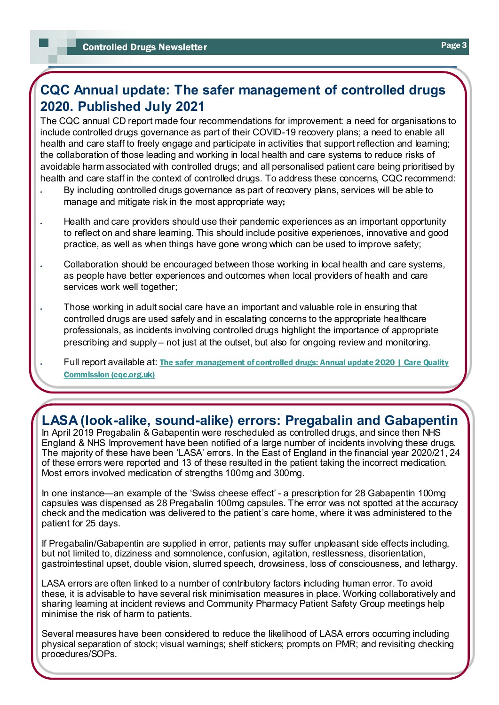## **CQC Annual update: The safer management of controlled drugs 2020. Published July 2021**

The CQC annual CD report made four recommendations for improvement: a need for organisations to include controlled drugs governance as part of their COVID-19 recovery plans; a need to enable all health and care staff to freely engage and participate in activities that support reflection and learning; the collaboration of those leading and working in local health and care systems to reduce risks of avoidable harm associated with controlled drugs; and all personalised patient care being prioritised by health and care staff in the context of controlled drugs. To address these concerns, CQC recommend:

- By including controlled drugs governance as part of recovery plans, services will be able to manage and mitigate risk in the most appropriate way;
- Health and care providers should use their pandemic experiences as an important opportunity to reflect on and share learning. This should include positive experiences, innovative and good practice, as well as when things have gone wrong which can be used to improve safety;
- Collaboration should be encouraged between those working in local health and care systems, as people have better experiences and outcomes when local providers of health and care services work well together;
- Those working in adult social care have an important and valuable role in ensuring that controlled drugs are used safely and in escalating concerns to the appropriate healthcare professionals, as incidents involving controlled drugs highlight the importance of appropriate prescribing and supply – not just at the outset, but also for ongoing review and monitoring.

• Full report available at: [The safer management of controlled drugs: Annual update 2020 | Care Quality](https://www.cqc.org.uk/publications/themes-care/safer-management-controlled-drugs-annual-update-2020)  [Commission \(cqc.org.uk\)](https://www.cqc.org.uk/publications/themes-care/safer-management-controlled-drugs-annual-update-2020)

## **LASA (look-alike, sound-alike) errors: Pregabalin and Gabapentin**

In April 2019 Pregabalin & Gabapentin were rescheduled as controlled drugs, and since then NHS England & NHS Improvement have been notified of a large number of incidents involving these drugs. The majority of these have been 'LASA' errors. In the East of England in the financial year 2020/21, 24 of these errors were reported and 13 of these resulted in the patient taking the incorrect medication. Most errors involved medication of strengths 100mg and 300mg.

In one instance—an example of the 'Swiss cheese effect' - a prescription for 28 Gabapentin 100mg capsules was dispensed as 28 Pregabalin 100mg capsules. The error was not spotted at the accuracy check and the medication was delivered to the patient's care home, where it was administered to the patient for 25 days.

If Pregabalin/Gabapentin are supplied in error, patients may suffer unpleasant side effects including, but not limited to, dizziness and somnolence, confusion, agitation, restlessness, disorientation, gastrointestinal upset, double vision, slurred speech, drowsiness, loss of consciousness, and lethargy.

LASA errors are often linked to a number of contributory factors including human error. To avoid these, it is advisable to have several risk minimisation measures in place. Working collaboratively and sharing learning at incident reviews and Community Pharmacy Patient Safety Group meetings help minimise the risk of harm to patients.

Several measures have been considered to reduce the likelihood of LASA errors occurring including physical separation of stock; visual warnings; shelf stickers; prompts on PMR; and revisiting checking procedures/SOPs.